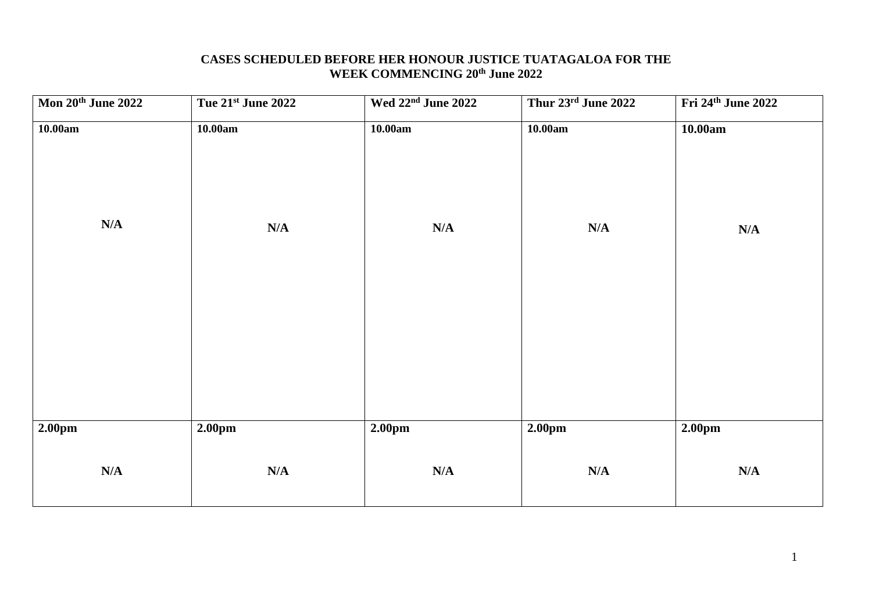## **CASES SCHEDULED BEFORE HER HONOUR JUSTICE TUATAGALOA FOR THE WEEK COMMENCING 20th June 2022**

| Mon 20th June 2022 | Tue 21st June 2022 | Wed 22 <sup>nd</sup> June 2022 | Thur 23rd June 2022 | Fri 24 <sup>th</sup> June 2022 |
|--------------------|--------------------|--------------------------------|---------------------|--------------------------------|
| 10.00am<br>N/A     | 10.00am<br>N/A     | 10.00am<br>N/A                 | 10.00am<br>N/A      | 10.00am<br>N/A                 |
|                    |                    |                                |                     |                                |
| 2.00pm             | 2.00pm             | 2.00 <sub>pm</sub>             | 2.00 <sub>pm</sub>  | 2.00pm                         |
| N/A                | N/A                | $\mathbf{N}/\mathbf{A}$        | N/A                 | N/A                            |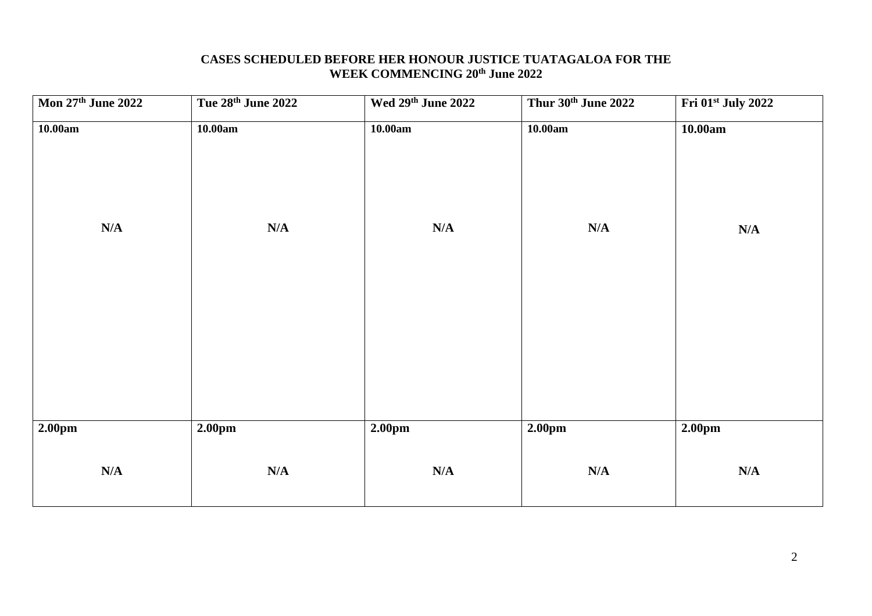# **CASES SCHEDULED BEFORE HER HONOUR JUSTICE TUATAGALOA FOR THE WEEK COMMENCING 20th June 2022**

| Mon 27th June 2022 | Tue 28th June 2022 | Wed 29th June 2022                            | Thur 30th June 2022       | Fri 01st July 2022 |
|--------------------|--------------------|-----------------------------------------------|---------------------------|--------------------|
| 10.00am            | 10.00am            | 10.00am                                       | 10.00am                   | 10.00am            |
| N/A                | N/A                | $\mathbf{N}/\mathbf{A}$                       | N/A                       | N/A                |
| 2.00pm<br>N/A      | 2.00pm<br>N/A      | 2.00 <sub>pm</sub><br>$\mathbf{N}/\mathbf{A}$ | 2.00 <sub>pm</sub><br>N/A | 2.00pm<br>N/A      |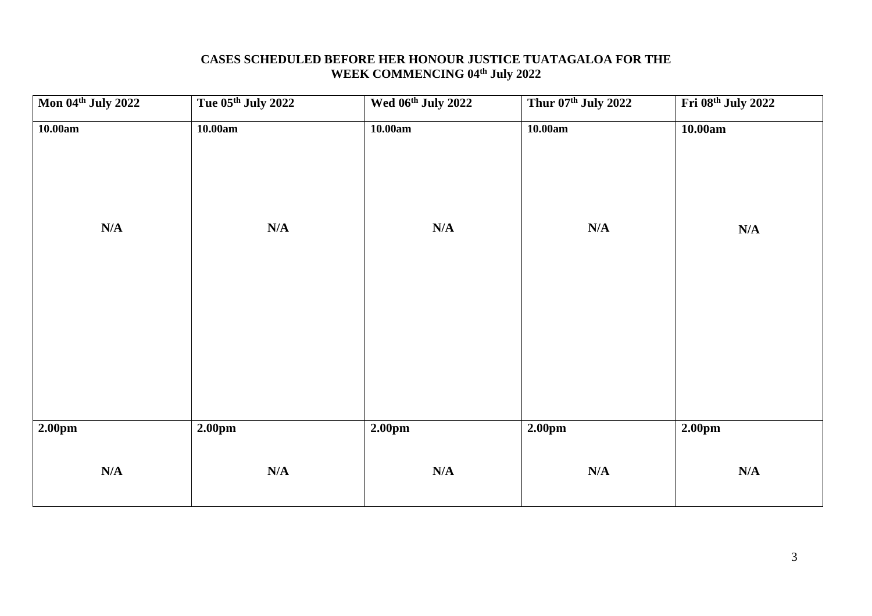## **CASES SCHEDULED BEFORE HER HONOUR JUSTICE TUATAGALOA FOR THE WEEK COMMENCING 04th July 2022**

| Mon 04th July 2022 | Tue 05th July 2022 | Wed 06th July 2022                 | Thur 07th July 2022 | Fri 08th July 2022 |
|--------------------|--------------------|------------------------------------|---------------------|--------------------|
| 10.00am<br>N/A     | 10.00am<br>N/A     | 10.00am<br>$\mathbf{N}/\mathbf{A}$ | 10.00am<br>N/A      | 10.00am<br>N/A     |
|                    |                    |                                    |                     |                    |
| 2.00pm             | 2.00pm             | 2.00 <sub>pm</sub>                 | 2.00 <sub>pm</sub>  | 2.00pm             |
| N/A                | N/A                | $\mathbf{N}/\mathbf{A}$            | N/A                 | N/A                |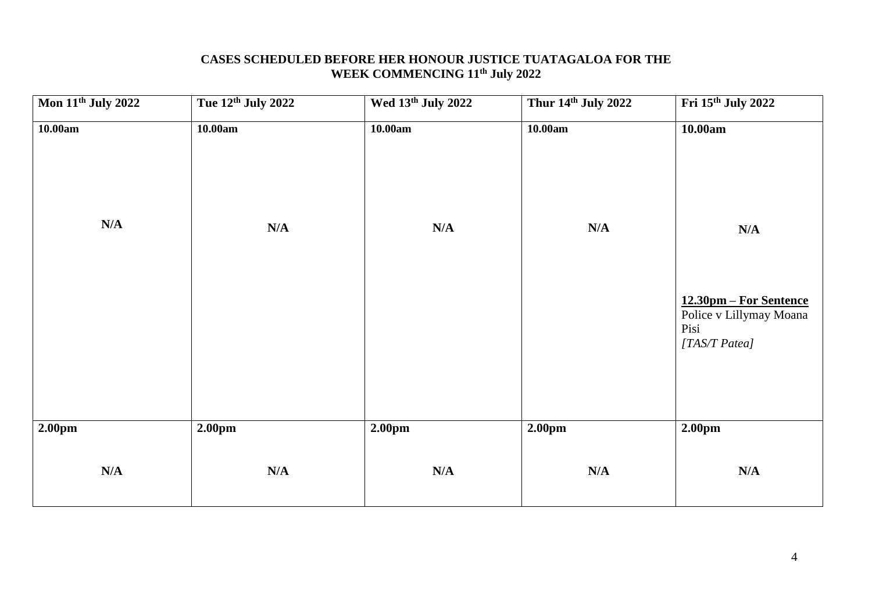## **CASES SCHEDULED BEFORE HER HONOUR JUSTICE TUATAGALOA FOR THE WEEK COMMENCING 11th July 2022**

| Mon 11 <sup>th</sup> July 2022 | Tue 12th July 2022 | Wed 13th July 2022 | Thur 14th July 2022 | Fri 15th July 2022                                               |
|--------------------------------|--------------------|--------------------|---------------------|------------------------------------------------------------------|
| 10.00am                        | 10.00am            | 10.00am            | 10.00am             | 10.00am                                                          |
| N/A                            | N/A                | N/A                | N/A                 | N/A<br>12.30pm – For Sentence<br>Police v Lillymay Moana<br>Pisi |
| 2.00pm                         | 2.00pm             | 2.00 <sub>pm</sub> | 2.00 <sub>pm</sub>  | [TAS/T Patea]<br>2.00 <sub>pm</sub>                              |
| N/A                            | N/A                | N/A                | N/A                 | N/A                                                              |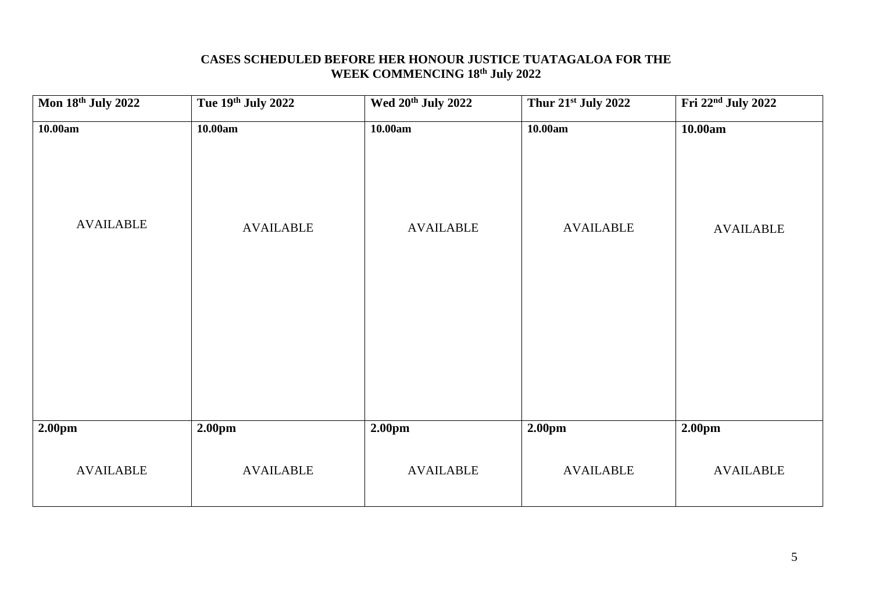## **CASES SCHEDULED BEFORE HER HONOUR JUSTICE TUATAGALOA FOR THE WEEK COMMENCING 18 th July 2022**

| Mon 18th July 2022          | Tue 19th July 2022          | Wed 20 <sup>th</sup> July 2022 | Thur 21st July 2022         | Fri 22 <sup>nd</sup> July 2022 |
|-----------------------------|-----------------------------|--------------------------------|-----------------------------|--------------------------------|
| 10.00am<br><b>AVAILABLE</b> | 10.00am<br><b>AVAILABLE</b> | 10.00am<br><b>AVAILABLE</b>    | 10.00am<br><b>AVAILABLE</b> | 10.00am<br><b>AVAILABLE</b>    |
| 2.00pm                      | 2.00pm                      | 2.00 <sub>pm</sub>             | 2.00pm                      | 2.00 <sub>pm</sub>             |
| <b>AVAILABLE</b>            | <b>AVAILABLE</b>            | <b>AVAILABLE</b>               | <b>AVAILABLE</b>            | <b>AVAILABLE</b>               |